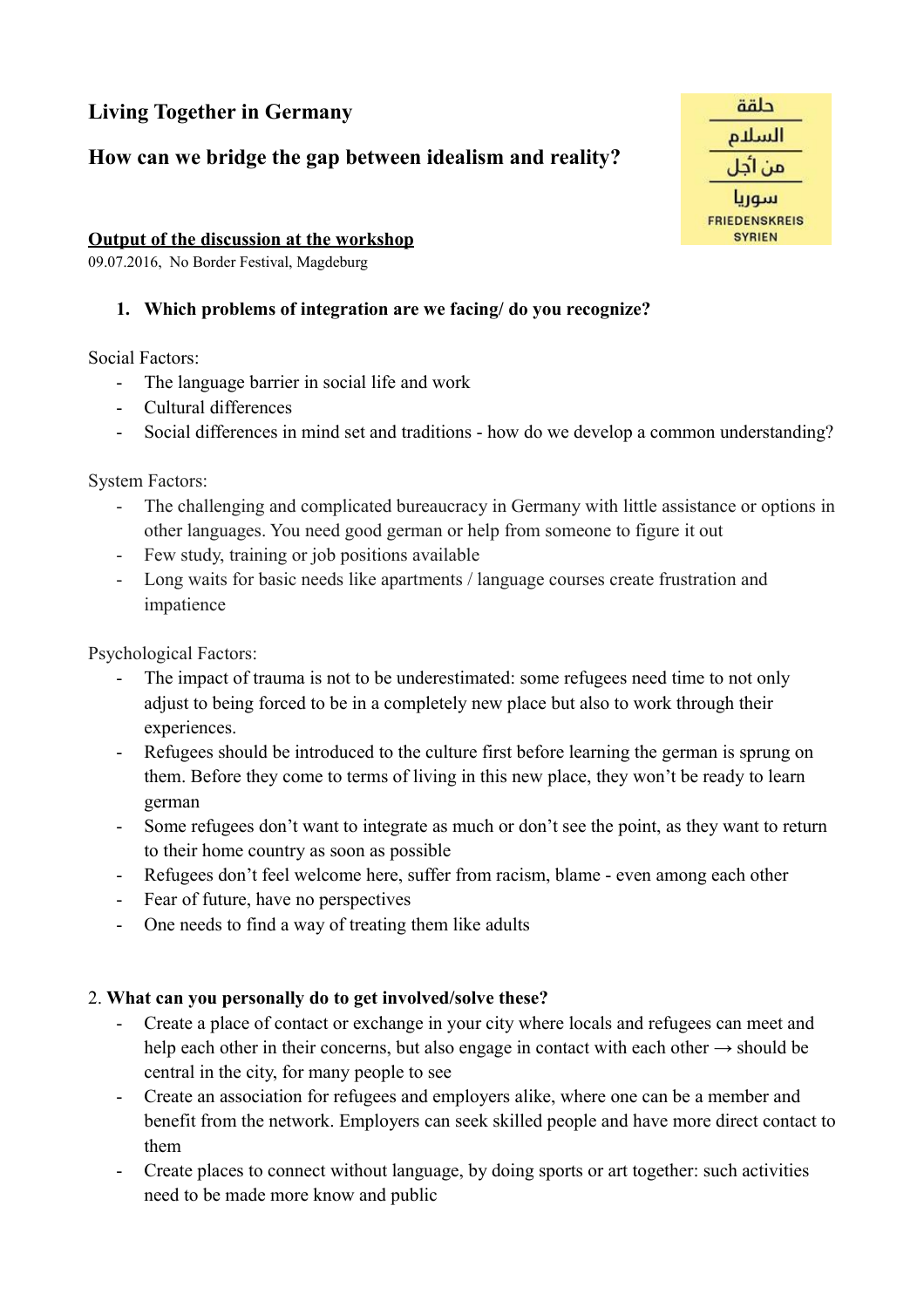# **Living Together in Germany**

# **How can we bridge the gap between idealism and reality?**

### **Output of the discussion at the workshop**

09.07.2016, No Border Festival, Magdeburg

## **1. Which problems of integration are we facing/ do you recognize?**

Social Factors:

- The language barrier in social life and work
- Cultural differences
- Social differences in mind set and traditions how do we develop a common understanding?

System Factors:

- The challenging and complicated bureaucracy in Germany with little assistance or options in other languages. You need good german or help from someone to figure it out
- Few study, training or job positions available
- Long waits for basic needs like apartments / language courses create frustration and impatience

Psychological Factors:

- The impact of trauma is not to be underestimated: some refugees need time to not only adjust to being forced to be in a completely new place but also to work through their experiences.
- Refugees should be introduced to the culture first before learning the german is sprung on them. Before they come to terms of living in this new place, they won't be ready to learn german
- Some refugees don't want to integrate as much or don't see the point, as they want to return to their home country as soon as possible
- Refugees don't feel welcome here, suffer from racism, blame even among each other
- Fear of future, have no perspectives
- One needs to find a way of treating them like adults

#### 2. **What can you personally do to get involved/solve these?**

- Create a place of contact or exchange in your city where locals and refugees can meet and help each other in their concerns, but also engage in contact with each other  $\rightarrow$  should be central in the city, for many people to see
- Create an association for refugees and employers alike, where one can be a member and benefit from the network. Employers can seek skilled people and have more direct contact to them
- Create places to connect without language, by doing sports or art together: such activities need to be made more know and public

| حلقة                                  |  |
|---------------------------------------|--|
| السلام                                |  |
| من اجل                                |  |
| سوريا                                 |  |
| <b>FRIEDENSKREIS</b><br><b>SYRIEN</b> |  |